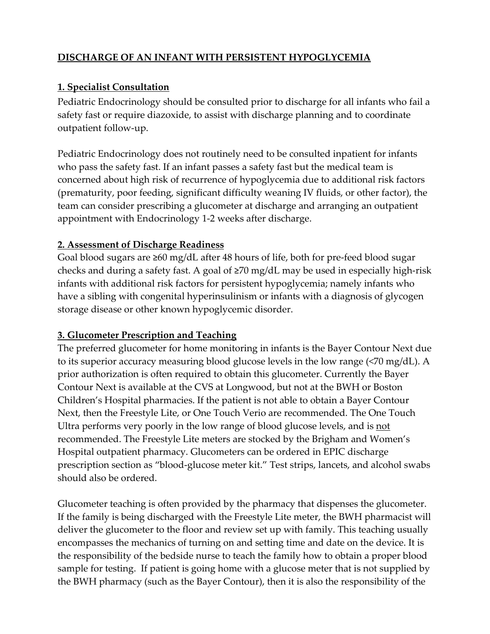# **DISCHARGE OF AN INFANT WITH PERSISTENT HYPOGLYCEMIA**

#### **1. Specialist Consultation**

Pediatric Endocrinology should be consulted prior to discharge for all infants who fail a safety fast or require diazoxide, to assist with discharge planning and to coordinate outpatient follow‐up.

Pediatric Endocrinology does not routinely need to be consulted inpatient for infants who pass the safety fast. If an infant passes a safety fast but the medical team is concerned about high risk of recurrence of hypoglycemia due to additional risk factors (prematurity, poor feeding, significant difficulty weaning IV fluids, or other factor), the team can consider prescribing a glucometer at discharge and arranging an outpatient appointment with Endocrinology 1‐2 weeks after discharge.

#### **2. Assessment of Discharge Readiness**

Goal blood sugars are ≥60 mg/dL after 48 hours of life, both for pre‐feed blood sugar checks and during a safety fast. A goal of ≥70 mg/dL may be used in especially high‐risk infants with additional risk factors for persistent hypoglycemia; namely infants who have a sibling with congenital hyperinsulinism or infants with a diagnosis of glycogen storage disease or other known hypoglycemic disorder.

# **3. Glucometer Prescription and Teaching**

The preferred glucometer for home monitoring in infants is the Bayer Contour Next due to its superior accuracy measuring blood glucose levels in the low range (<70 mg/dL). A prior authorization is often required to obtain this glucometer. Currently the Bayer Contour Next is available at the CVS at Longwood, but not at the BWH or Boston Children's Hospital pharmacies. If the patient is not able to obtain a Bayer Contour Next, then the Freestyle Lite, or One Touch Verio are recommended. The One Touch Ultra performs very poorly in the low range of blood glucose levels, and is not recommended. The Freestyle Lite meters are stocked by the Brigham and Women's Hospital outpatient pharmacy. Glucometers can be ordered in EPIC discharge prescription section as "blood‐glucose meter kit." Test strips, lancets, and alcohol swabs should also be ordered.

Glucometer teaching is often provided by the pharmacy that dispenses the glucometer. If the family is being discharged with the Freestyle Lite meter, the BWH pharmacist will deliver the glucometer to the floor and review set up with family. This teaching usually encompasses the mechanics of turning on and setting time and date on the device. It is the responsibility of the bedside nurse to teach the family how to obtain a proper blood sample for testing. If patient is going home with a glucose meter that is not supplied by the BWH pharmacy (such as the Bayer Contour), then it is also the responsibility of the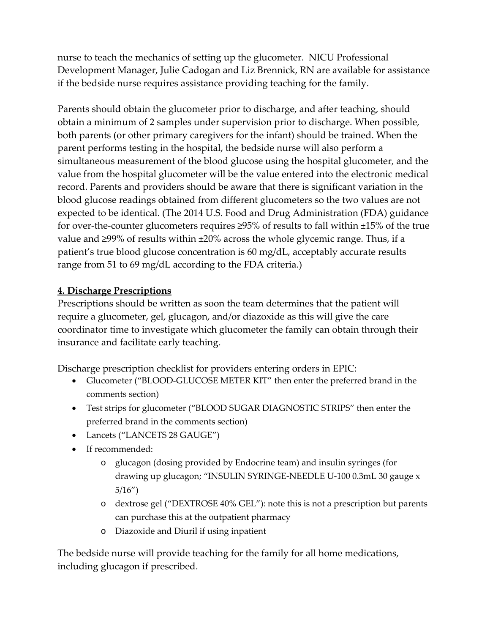nurse to teach the mechanics of setting up the glucometer. NICU Professional Development Manager, Julie Cadogan and Liz Brennick, RN are available for assistance if the bedside nurse requires assistance providing teaching for the family.

Parents should obtain the glucometer prior to discharge, and after teaching, should obtain a minimum of 2 samples under supervision prior to discharge. When possible, both parents (or other primary caregivers for the infant) should be trained. When the parent performs testing in the hospital, the bedside nurse will also perform a simultaneous measurement of the blood glucose using the hospital glucometer, and the value from the hospital glucometer will be the value entered into the electronic medical record. Parents and providers should be aware that there is significant variation in the blood glucose readings obtained from different glucometers so the two values are not expected to be identical. (The 2014 U.S. Food and Drug Administration (FDA) guidance for over-the-counter glucometers requires  $\geq$ 95% of results to fall within  $\pm$ 15% of the true value and ≥99% of results within ±20% across the whole glycemic range. Thus, if a patient's true blood glucose concentration is 60 mg/dL, acceptably accurate results range from 51 to 69 mg/dL according to the FDA criteria.)

# **4. Discharge Prescriptions**

Prescriptions should be written as soon the team determines that the patient will require a glucometer, gel, glucagon, and/or diazoxide as this will give the care coordinator time to investigate which glucometer the family can obtain through their insurance and facilitate early teaching.

Discharge prescription checklist for providers entering orders in EPIC:

- Glucometer ("BLOOD‐GLUCOSE METER KIT" then enter the preferred brand in the comments section)
- Test strips for glucometer ("BLOOD SUGAR DIAGNOSTIC STRIPS" then enter the preferred brand in the comments section)
- Lancets ("LANCETS 28 GAUGE")
- If recommended:
	- o glucagon (dosing provided by Endocrine team) and insulin syringes (for drawing up glucagon; "INSULIN SYRINGE‐NEEDLE U‐100 0.3mL 30 gauge x 5/16")
	- o dextrose gel ("DEXTROSE 40% GEL"): note this is not a prescription but parents can purchase this at the outpatient pharmacy
	- o Diazoxide and Diuril if using inpatient

The bedside nurse will provide teaching for the family for all home medications, including glucagon if prescribed.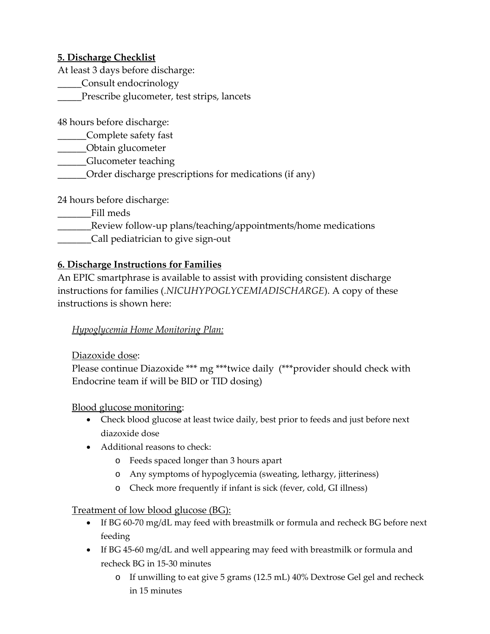# **5. Discharge Checklist**

At least 3 days before discharge:

\_\_\_\_\_Consult endocrinology

\_\_\_\_\_Prescribe glucometer, test strips, lancets

48 hours before discharge:

\_\_\_\_\_\_Complete safety fast

\_\_\_\_\_\_Obtain glucometer

\_\_\_\_\_\_Glucometer teaching

\_\_\_\_\_\_Order discharge prescriptions for medications (if any)

24 hours before discharge:

- \_\_\_\_\_\_\_Fill meds
- Review follow-up plans/teaching/appointments/home medications
- \_\_\_\_\_\_\_Call pediatrician to give sign‐out

# **6. Discharge Instructions for Families**

An EPIC smartphrase is available to assist with providing consistent discharge instructions for families (*.NICUHYPOGLYCEMIADISCHARGE*). A copy of these instructions is shown here:

# *Hypoglycemia Home Monitoring Plan:*

Diazoxide dose:

Please continue Diazoxide \*\*\* mg \*\*\* twice daily (\*\*\* provider should check with Endocrine team if will be BID or TID dosing)

Blood glucose monitoring:

- Check blood glucose at least twice daily, best prior to feeds and just before next diazoxide dose
- Additional reasons to check:
	- o Feeds spaced longer than 3 hours apart
	- o Any symptoms of hypoglycemia (sweating, lethargy, jitteriness)
	- o Check more frequently if infant is sick (fever, cold, GI illness)

# Treatment of low blood glucose (BG):

- If BG 60-70 mg/dL may feed with breastmilk or formula and recheck BG before next feeding
- If BG 45‐60 mg/dL and well appearing may feed with breastmilk or formula and recheck BG in 15‐30 minutes
	- o If unwilling to eat give 5 grams (12.5 mL) 40% Dextrose Gel gel and recheck in 15 minutes